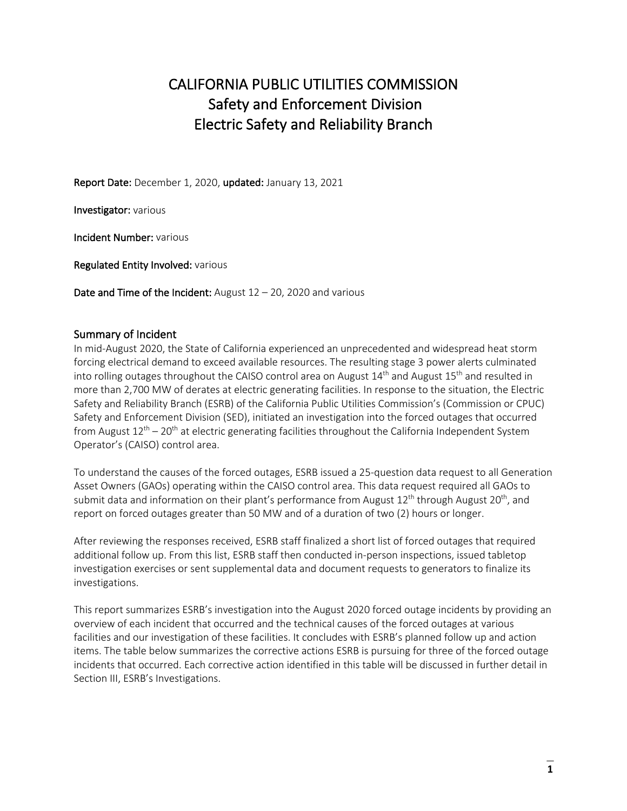# CALIFORNIA PUBLIC UTILITIES COMMISSION Safety and Enforcement Division Electric Safety and Reliability Branch

Report Date: December 1, 2020, updated: January 13, 2021

Investigator: various

Incident Number: various

Regulated Entity Involved: various

Date and Time of the Incident: August 12 - 20, 2020 and various

# Summary of Incident

In mid-August 2020, the State of California experienced an unprecedented and widespread heat storm forcing electrical demand to exceed available resources. The resulting stage 3 power alerts culminated into rolling outages throughout the CAISO control area on August 14<sup>th</sup> and August 15<sup>th</sup> and resulted in more than 2,700 MW of derates at electric generating facilities. In response to the situation, the Electric Safety and Reliability Branch (ESRB) of the California Public Utilities Commission's (Commission or CPUC) Safety and Enforcement Division (SED), initiated an investigation into the forced outages that occurred from August  $12^{th}$  –  $20^{th}$  at electric generating facilities throughout the California Independent System Operator's (CAISO) control area.

To understand the causes of the forced outages, ESRB issued a 25-question data request to all Generation Asset Owners (GAOs) operating within the CAISO control area. This data request required all GAOs to submit data and information on their plant's performance from August  $12<sup>th</sup>$  through August  $20<sup>th</sup>$ , and report on forced outages greater than 50 MW and of a duration of two (2) hours or longer.

After reviewing the responses received, ESRB staff finalized a short list of forced outages that required additional follow up. From this list, ESRB staff then conducted in-person inspections, issued tabletop investigation exercises or sent supplemental data and document requests to generators to finalize its investigations.

This report summarizes ESRB's investigation into the August 2020 forced outage incidents by providing an overview of each incident that occurred and the technical causes of the forced outages at various facilities and our investigation of these facilities. It concludes with ESRB's planned follow up and action items. The table below summarizes the corrective actions ESRB is pursuing for three of the forced outage incidents that occurred. Each corrective action identified in this table will be discussed in further detail in Section III, ESRB's Investigations.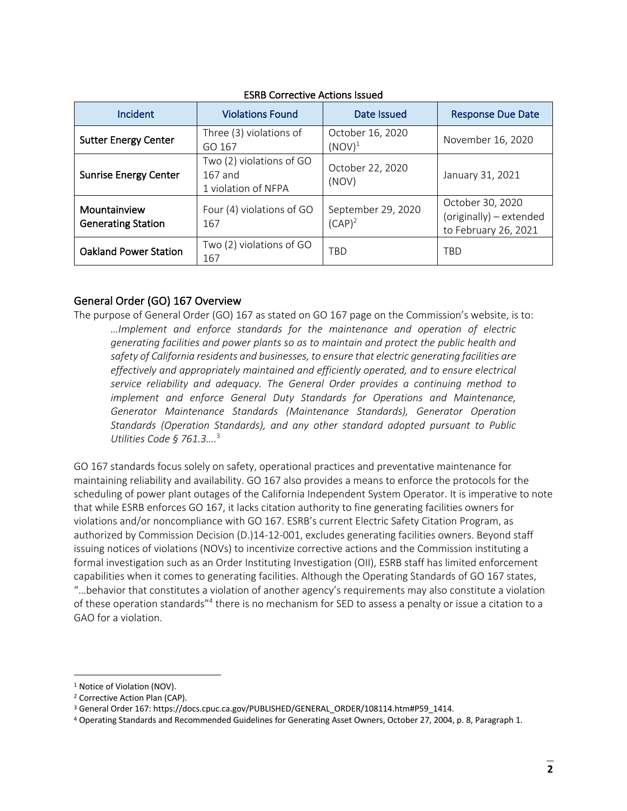| Incident                                  | <b>Violations Found</b>                                      | Date Issued                     | <b>Response Due Date</b>                                            |
|-------------------------------------------|--------------------------------------------------------------|---------------------------------|---------------------------------------------------------------------|
| <b>Sutter Energy Center</b>               | Three (3) violations of<br>GO 167                            | October 16, 2020<br>$(NOV)^1$   | November 16, 2020                                                   |
| <b>Sunrise Energy Center</b>              | Two (2) violations of GO<br>$167$ and<br>1 violation of NFPA | October 22, 2020<br>(NOV)       | January 31, 2021                                                    |
| Mountainview<br><b>Generating Station</b> | Four (4) violations of GO<br>167                             | September 29, 2020<br>$(CAP)^2$ | October 30, 2020<br>(originally) - extended<br>to February 26, 2021 |
| <b>Oakland Power Station</b>              | Two (2) violations of GO<br>167                              | <b>TBD</b>                      | <b>TBD</b>                                                          |

# ESRB Corrective Actions Issued

# General Order (GO) 167 Overview

The purpose of General Order (GO) 167 as stated on GO 167 page on the Commission's website, is to: *…Implement and enforce standards for the maintenance and operation of electric generating facilities and power plants so as to maintain and protect the public health and safety of California residents and businesses, to ensure that electric generating facilities are effectively and appropriately maintained and efficiently operated, and to ensure electrical service reliability and adequacy. The General Order provides a continuing method to implement and enforce General Duty Standards for Operations and Maintenance, Generator Maintenance Standards (Maintenance Standards), Generator Operation Standards (Operation Standards), and any other standard adopted pursuant to Public Utilities Code § 761.3….* 3

GO 167 standards focus solely on safety, operational practices and preventative maintenance for maintaining reliability and availability. GO 167 also provides a means to enforce the protocols for the scheduling of power plant outages of the California Independent System Operator. It is imperative to note that while ESRB enforces GO 167, it lacks citation authority to fine generating facilities owners for violations and/or noncompliance with GO 167. ESRB's current Electric Safety Citation Program, as authorized by Commission Decision (D.)14-12-001, excludes generating facilities owners. Beyond staff issuing notices of violations (NOVs) to incentivize corrective actions and the Commission instituting a formal investigation such as an Order Instituting Investigation (OII), ESRB staff has limited enforcement capabilities when it comes to generating facilities. Although the Operating Standards of GO 167 states, "…behavior that constitutes a violation of another agency's requirements may also constitute a violation of these operation standards"4 there is no mechanism for SED to assess a penalty or issue a citation to a GAO for a violation.

<sup>&</sup>lt;sup>1</sup> Notice of Violation (NOV).

<sup>2</sup> Corrective Action Plan (CAP).

<sup>3</sup> General Order 167: https://docs.cpuc.ca.gov/PUBLISHED/GENERAL\_ORDER/108114.htm#P59\_1414.

<sup>4</sup> Operating Standards and Recommended Guidelines for Generating Asset Owners, October 27, 2004, p. 8, Paragraph 1.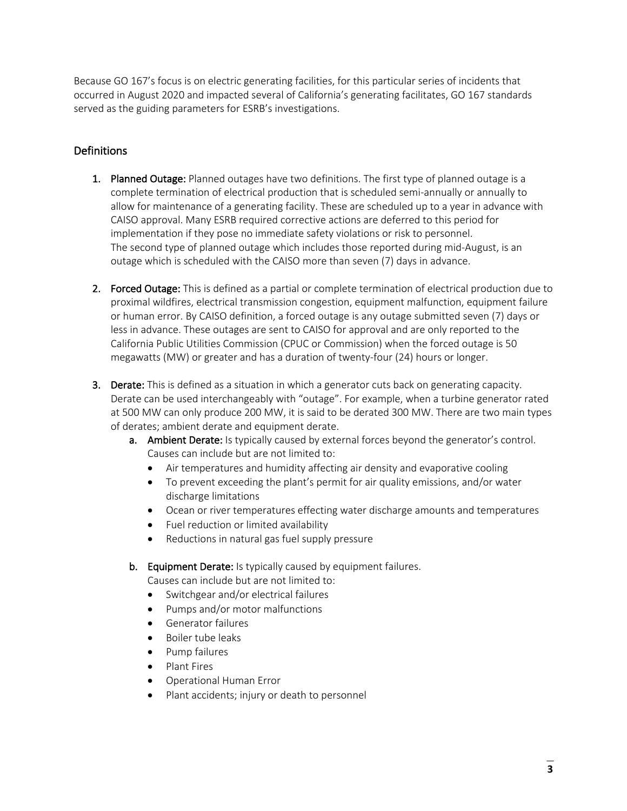Because GO 167's focus is on electric generating facilities, for this particular series of incidents that occurred in August 2020 and impacted several of California's generating facilitates, GO 167 standards served as the guiding parameters for ESRB's investigations.

# Definitions

- 1. Planned Outage: Planned outages have two definitions. The first type of planned outage is a complete termination of electrical production that is scheduled semi-annually or annually to allow for maintenance of a generating facility. These are scheduled up to a year in advance with CAISO approval. Many ESRB required corrective actions are deferred to this period for implementation if they pose no immediate safety violations or risk to personnel. The second type of planned outage which includes those reported during mid-August, is an outage which is scheduled with the CAISO more than seven (7) days in advance.
- 2. Forced Outage: This is defined as a partial or complete termination of electrical production due to proximal wildfires, electrical transmission congestion, equipment malfunction, equipment failure or human error. By CAISO definition, a forced outage is any outage submitted seven (7) days or less in advance. These outages are sent to CAISO for approval and are only reported to the California Public Utilities Commission (CPUC or Commission) when the forced outage is 50 megawatts (MW) or greater and has a duration of twenty-four (24) hours or longer.
- 3. Derate: This is defined as a situation in which a generator cuts back on generating capacity. Derate can be used interchangeably with "outage". For example, when a turbine generator rated at 500 MW can only produce 200 MW, it is said to be derated 300 MW. There are two main types of derates; ambient derate and equipment derate.
	- a. Ambient Derate: Is typically caused by external forces beyond the generator's control. Causes can include but are not limited to:
		- Air temperatures and humidity affecting air density and evaporative cooling
		- To prevent exceeding the plant's permit for air quality emissions, and/or water discharge limitations
		- Ocean or river temperatures effecting water discharge amounts and temperatures
		- Fuel reduction or limited availability
		- Reductions in natural gas fuel supply pressure
	- b. Equipment Derate: Is typically caused by equipment failures.

Causes can include but are not limited to:

- Switchgear and/or electrical failures
- Pumps and/or motor malfunctions
- Generator failures
- Boiler tube leaks
- Pump failures
- Plant Fires
- Operational Human Error
- Plant accidents; injury or death to personnel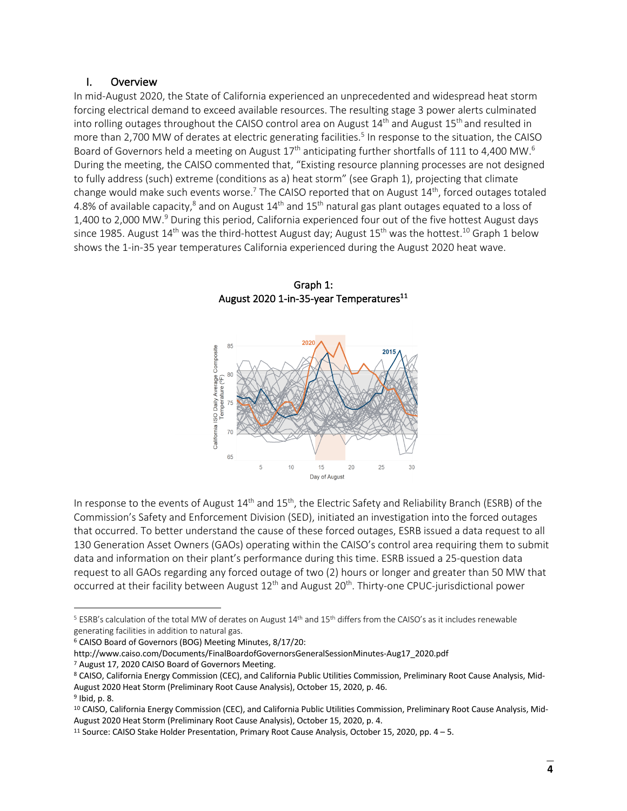# I. Overview

In mid-August 2020, the State of California experienced an unprecedented and widespread heat storm forcing electrical demand to exceed available resources. The resulting stage 3 power alerts culminated into rolling outages throughout the CAISO control area on August 14<sup>th</sup> and August 15<sup>th</sup> and resulted in more than 2,700 MW of derates at electric generating facilities. <sup>5</sup> In response to the situation, the CAISO Board of Governors held a meeting on August 17<sup>th</sup> anticipating further shortfalls of 111 to 4,400 MW.<sup>6</sup> During the meeting, the CAISO commented that, "Existing resource planning processes are not designed to fully address (such) extreme (conditions as a) heat storm" (see Graph 1), projecting that climate change would make such events worse.<sup>7</sup> The CAISO reported that on August  $14<sup>th</sup>$ , forced outages totaled 4.8% of available capacity,<sup>8</sup> and on August  $14<sup>th</sup>$  and  $15<sup>th</sup>$  natural gas plant outages equated to a loss of 1,400 to 2,000 MW.9 During this period, California experienced four out of the five hottest August days since 1985. August 14<sup>th</sup> was the third-hottest August day; August 15<sup>th</sup> was the hottest.<sup>10</sup> Graph 1 below shows the 1-in-35 year temperatures California experienced during the August 2020 heat wave.



In response to the events of August  $14<sup>th</sup>$  and  $15<sup>th</sup>$ , the Electric Safety and Reliability Branch (ESRB) of the Commission's Safety and Enforcement Division (SED), initiated an investigation into the forced outages that occurred. To better understand the cause of these forced outages, ESRB issued a data request to all 130 Generation Asset Owners (GAOs) operating within the CAISO's control area requiring them to submit data and information on their plant's performance during this time. ESRB issued a 25-question data request to all GAOs regarding any forced outage of two (2) hours or longer and greater than 50 MW that occurred at their facility between August 12<sup>th</sup> and August 20<sup>th</sup>. Thirty-one CPUC-jurisdictional power

<sup>5</sup> ESRB's calculation of the total MW of derates on August 14th and 15th differs from the CAISO's as it includes renewable generating facilities in addition to natural gas.

<sup>6</sup> CAISO Board of Governors (BOG) Meeting Minutes, 8/17/20:

http://www.caiso.com/Documents/FinalBoardofGovernorsGeneralSessionMinutes-Aug17\_2020.pdf

<sup>&</sup>lt;sup>7</sup> August 17, 2020 CAISO Board of Governors Meeting.<br><sup>8</sup> CAISO, California Energy Commission (CEC), and California Public Utilities Commission, Preliminary Root Cause Analysis, Mid-August 2020 Heat Storm (Preliminary Root Cause Analysis), October 15, 2020, p. 46.

<sup>9</sup> Ibid, p. 8.

<sup>10</sup> CAISO, California Energy Commission (CEC), and California Public Utilities Commission, Preliminary Root Cause Analysis, Mid-August 2020 Heat Storm (Preliminary Root Cause Analysis), October 15, 2020, p. 4.

<sup>11</sup> Source: CAISO Stake Holder Presentation, Primary Root Cause Analysis, October 15, 2020, pp. 4 – 5.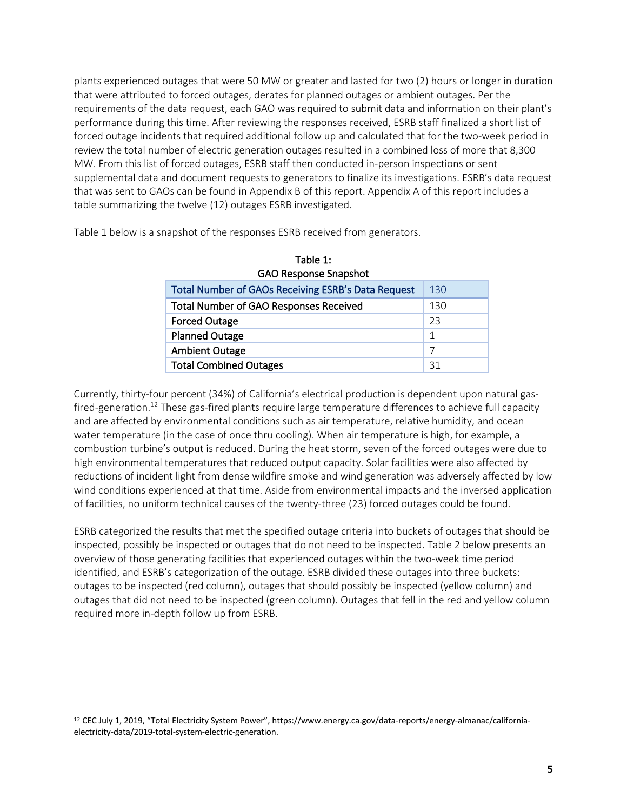plants experienced outages that were 50 MW or greater and lasted for two (2) hours or longer in duration that were attributed to forced outages, derates for planned outages or ambient outages. Per the requirements of the data request, each GAO was required to submit data and information on their plant's performance during this time. After reviewing the responses received, ESRB staff finalized a short list of forced outage incidents that required additional follow up and calculated that for the two-week period in review the total number of electric generation outages resulted in a combined loss of more that 8,300 MW. From this list of forced outages, ESRB staff then conducted in-person inspections or sent supplemental data and document requests to generators to finalize its investigations. ESRB's data request that was sent to GAOs can be found in Appendix B of this report. Appendix A of this report includes a table summarizing the twelve (12) outages ESRB investigated.

Table 1 below is a snapshot of the responses ESRB received from generators.

| GAO Response Snapshot                                     |     |  |
|-----------------------------------------------------------|-----|--|
| <b>Total Number of GAOs Receiving ESRB's Data Request</b> | 130 |  |
| Total Number of GAO Responses Received                    | 130 |  |
| <b>Forced Outage</b>                                      | 23  |  |
| <b>Planned Outage</b>                                     | 1   |  |
| <b>Ambient Outage</b>                                     | 7   |  |
| <b>Total Combined Outages</b>                             | 31  |  |

| Table 1:                     |
|------------------------------|
| <b>GAO Response Snapshot</b> |

Currently, thirty-four percent (34%) of California's electrical production is dependent upon natural gasfired-generation.<sup>12</sup> These gas-fired plants require large temperature differences to achieve full capacity and are affected by environmental conditions such as air temperature, relative humidity, and ocean water temperature (in the case of once thru cooling). When air temperature is high, for example, a combustion turbine's output is reduced. During the heat storm, seven of the forced outages were due to high environmental temperatures that reduced output capacity. Solar facilities were also affected by reductions of incident light from dense wildfire smoke and wind generation was adversely affected by low wind conditions experienced at that time. Aside from environmental impacts and the inversed application of facilities, no uniform technical causes of the twenty-three (23) forced outages could be found.

ESRB categorized the results that met the specified outage criteria into buckets of outages that should be inspected, possibly be inspected or outages that do not need to be inspected. Table 2 below presents an overview of those generating facilities that experienced outages within the two-week time period identified, and ESRB's categorization of the outage. ESRB divided these outages into three buckets: outages to be inspected (red column), outages that should possibly be inspected (yellow column) and outages that did not need to be inspected (green column). Outages that fell in the red and yellow column required more in-depth follow up from ESRB.

<sup>12</sup> CEC July 1, 2019, "Total Electricity System Power", https://www.energy.ca.gov/data-reports/energy-almanac/californiaelectricity-data/2019-total-system-electric-generation.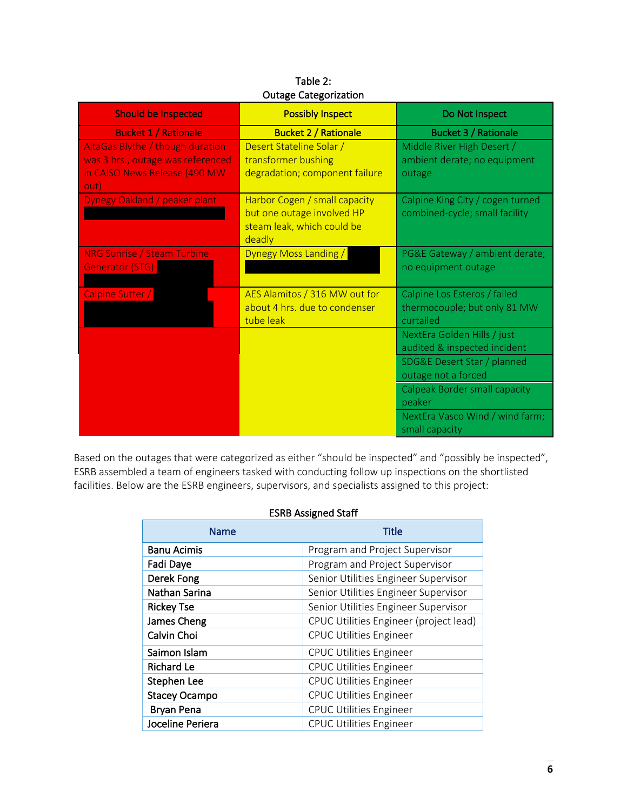| <b>Should be Inspected</b>                                                                                     | Outunt CutchOlleution<br><b>Possibly Inspect</b>                                                    | Do Not Inspect                                                            |
|----------------------------------------------------------------------------------------------------------------|-----------------------------------------------------------------------------------------------------|---------------------------------------------------------------------------|
| <b>Bucket 1 / Rationale</b>                                                                                    | <b>Bucket 2 / Rationale</b>                                                                         | <b>Bucket 3 / Rationale</b>                                               |
| AltaGas Blythe / though duration<br>was 3 hrs., outage was referenced<br>in CAISO News Release (490 MW<br>out) | Desert Stateline Solar /<br>transformer bushing<br>degradation; component failure                   | Middle River High Desert /<br>ambient derate; no equipment<br>outage      |
| Dynegy Oakland / peaker plant                                                                                  | Harbor Cogen / small capacity<br>but one outage involved HP<br>steam leak, which could be<br>deadly | Calpine King City / cogen turned<br>combined-cycle; small facility        |
| <b>NRG Sunrise / Steam Turbine</b><br>Generator (STG)                                                          | Dynegy Moss Landing /                                                                               | PG&E Gateway / ambient derate;<br>no equipment outage                     |
| Calpine Sutter /                                                                                               | AES Alamitos / 316 MW out for<br>about 4 hrs. due to condenser<br>tube leak                         | Calpine Los Esteros / failed<br>thermocouple; but only 81 MW<br>curtailed |
|                                                                                                                |                                                                                                     | NextEra Golden Hills / just<br>audited & inspected incident               |
|                                                                                                                |                                                                                                     | SDG&E Desert Star / planned<br>outage not a forced                        |
|                                                                                                                |                                                                                                     | Calpeak Border small capacity<br>peaker                                   |
|                                                                                                                |                                                                                                     | NextEra Vasco Wind / wind farm;<br>small capacity                         |

| Table 2:                     |
|------------------------------|
| <b>Outage Categorization</b> |

Based on the outages that were categorized as either "should be inspected" and "possibly be inspected", ESRB assembled a team of engineers tasked with conducting follow up inspections on the shortlisted facilities. Below are the ESRB engineers, supervisors, and specialists assigned to this project:

# ESRB Assigned Staff

| Name                 | <b>Title</b>                           |
|----------------------|----------------------------------------|
| <b>Banu Acimis</b>   | Program and Project Supervisor         |
| Fadi Daye            | Program and Project Supervisor         |
| Derek Fong           | Senior Utilities Engineer Supervisor   |
| Nathan Sarina        | Senior Utilities Engineer Supervisor   |
| <b>Rickey Tse</b>    | Senior Utilities Engineer Supervisor   |
| James Cheng          | CPUC Utilities Engineer (project lead) |
| Calvin Choi          | <b>CPUC Utilities Engineer</b>         |
| Saimon Islam         | <b>CPUC Utilities Engineer</b>         |
| <b>Richard Le</b>    | <b>CPUC Utilities Engineer</b>         |
| Stephen Lee          | <b>CPUC Utilities Engineer</b>         |
| <b>Stacey Ocampo</b> | <b>CPUC Utilities Engineer</b>         |
| <b>Bryan Pena</b>    | <b>CPUC Utilities Engineer</b>         |
| Joceline Periera     | <b>CPUC Utilities Engineer</b>         |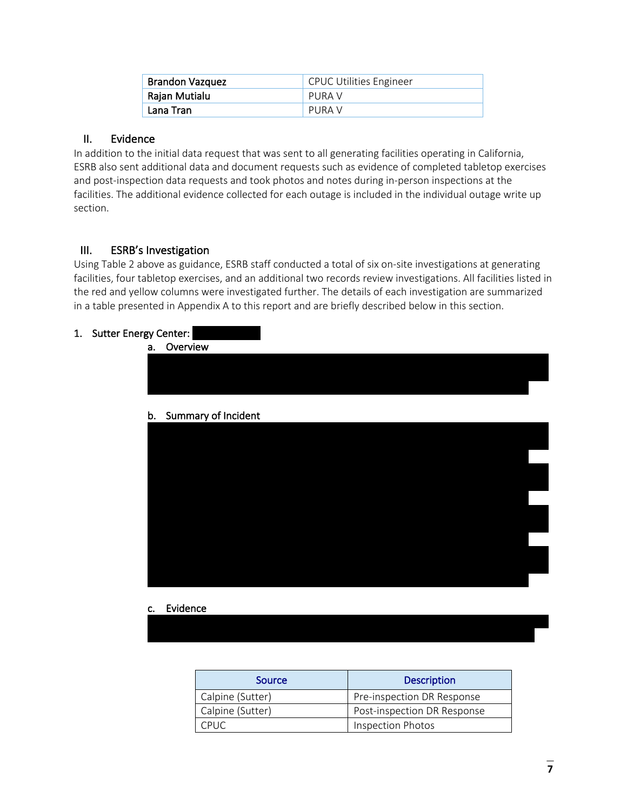| <b>Brandon Vazquez</b> | <b>CPUC Utilities Engineer</b> |
|------------------------|--------------------------------|
| Rajan Mutialu          | PURA V                         |
| Lana Tran              | PURA V                         |

# II. Evidence

In addition to the initial data request that was sent to all generating facilities operating in California, ESRB also sent additional data and document requests such as evidence of completed tabletop exercises and post-inspection data requests and took photos and notes during in-person inspections at the facilities. The additional evidence collected for each outage is included in the individual outage write up section.

# III. ESRB's Investigation

Using Table 2 above as guidance, ESRB staff conducted a total of six on-site investigations at generating facilities, four tabletop exercises, and an additional two records review investigations. All facilities listed in the red and yellow columns were investigated further. The details of each investigation are summarized in a table presented in Appendix A to this report and are briefly described below in this section.

# 1. Sutter Energy Center:



# c. Evidence

| Source           | <b>Description</b>          |
|------------------|-----------------------------|
| Calpine (Sutter) | Pre-inspection DR Response  |
| Calpine (Sutter) | Post-inspection DR Response |
| CPUC.            | <b>Inspection Photos</b>    |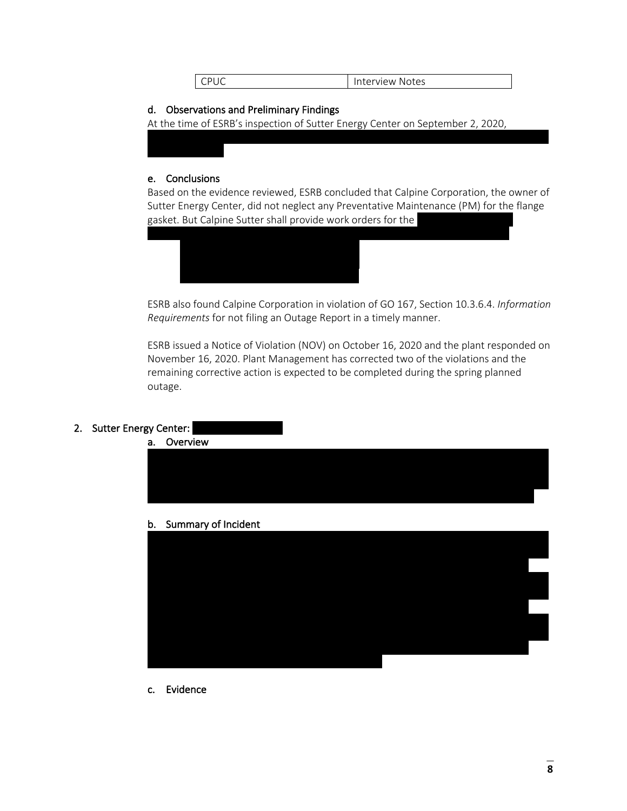# d. Observations and Preliminary Findings

At the time of ESRB's inspection of Sutter Energy Center on September 2, 2020,

#### e. Conclusions

Based on the evidence reviewed, ESRB concluded that Calpine Corporation, the owner of Sutter Energy Center, did not neglect any Preventative Maintenance (PM) for the flange gasket. But Calpine Sutter shall provide work orders for the



ESRB also found Calpine Corporation in violation of GO 167, Section 10.3.6.4. *Information Requirements* for not filing an Outage Report in a timely manner.

ESRB issued a Notice of Violation (NOV) on October 16, 2020 and the plant responded on November 16, 2020. Plant Management has corrected two of the violations and the remaining corrective action is expected to be completed during the spring planned outage.

# 2. Sutter Energy Center:



b. Summary of Incident



c. Evidence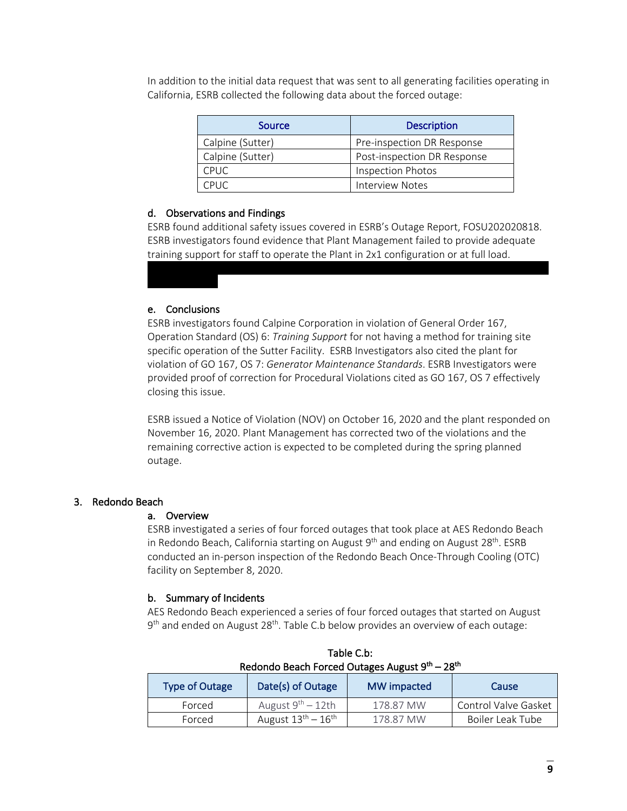In addition to the initial data request that was sent to all generating facilities operating in California, ESRB collected the following data about the forced outage:

| Source           | <b>Description</b>          |
|------------------|-----------------------------|
| Calpine (Sutter) | Pre-inspection DR Response  |
| Calpine (Sutter) | Post-inspection DR Response |
| <b>CPUC</b>      | <b>Inspection Photos</b>    |
| CPUC.            | <b>Interview Notes</b>      |

# d. Observations and Findings

ESRB found additional safety issues covered in ESRB's Outage Report, FOSU202020818. ESRB investigators found evidence that Plant Management failed to provide adequate training support for staff to operate the Plant in 2x1 configuration or at full load.

# e. Conclusions

ESRB investigators found Calpine Corporation in violation of General Order 167, Operation Standard (OS) 6: *Training Support* for not having a method for training site specific operation of the Sutter Facility. ESRB Investigators also cited the plant for violation of GO 167, OS 7: *Generator Maintenance Standards*. ESRB Investigators were provided proof of correction for Procedural Violations cited as GO 167, OS 7 effectively closing this issue.

ESRB issued a Notice of Violation (NOV) on October 16, 2020 and the plant responded on November 16, 2020. Plant Management has corrected two of the violations and the remaining corrective action is expected to be completed during the spring planned outage.

# 3. Redondo Beach

# a. Overview

ESRB investigated a series of four forced outages that took place at AES Redondo Beach in Redondo Beach, California starting on August  $9<sup>th</sup>$  and ending on August 28<sup>th</sup>. ESRB conducted an in-person inspection of the Redondo Beach Once-Through Cooling (OTC) facility on September 8, 2020.

# b. Summary of Incidents

AES Redondo Beach experienced a series of four forced outages that started on August 9<sup>th</sup> and ended on August 28<sup>th</sup>. Table C.b below provides an overview of each outage:

| Redondo Beach Forced Outages August 9th – 28th |                                          |             |                      |
|------------------------------------------------|------------------------------------------|-------------|----------------------|
| <b>Type of Outage</b>                          | Date(s) of Outage                        | MW impacted | Cause                |
| Forced                                         | August $9^{th}$ – 12th                   | 178.87 MW   | Control Valve Gasket |
| Forced                                         | August $13^{\text{th}} - 16^{\text{th}}$ | 178.87 MW   | Boiler Leak Tube     |

Table C.b: Redondo Beach Forced Outages August 9<sup>th</sup> – 28<sup>th</sup>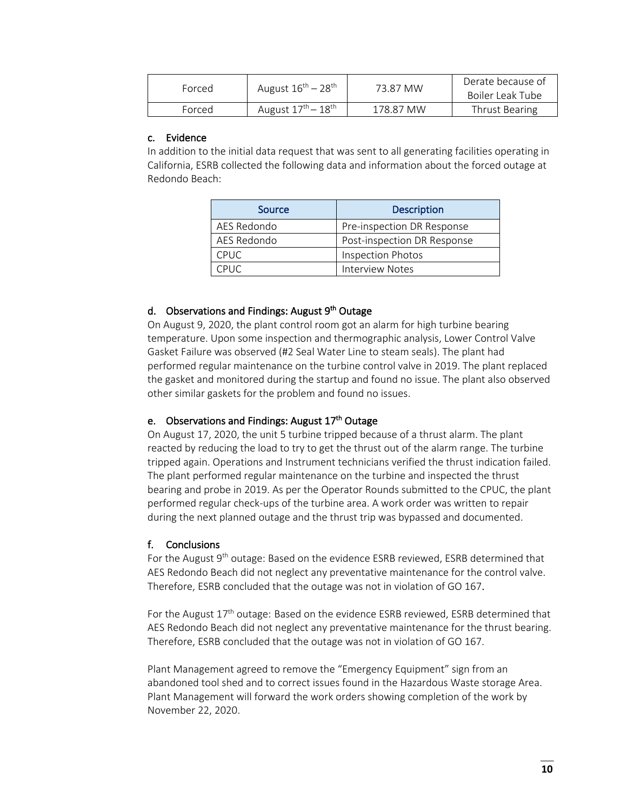| Forced | August $16^{\text{th}} - 28^{\text{th}}$ | 73.87 MW  | Derate because of<br>Boiler Leak Tube |
|--------|------------------------------------------|-----------|---------------------------------------|
| Forced | August $17^{\text{th}} - 18^{\text{th}}$ | 178.87 MW | Thrust Bearing                        |

# c. Evidence

In addition to the initial data request that was sent to all generating facilities operating in California, ESRB collected the following data and information about the forced outage at Redondo Beach:

| Source      | <b>Description</b>          |
|-------------|-----------------------------|
| AES Redondo | Pre-inspection DR Response  |
| AES Redondo | Post-inspection DR Response |
| <b>CPUC</b> | <b>Inspection Photos</b>    |
| CPUC.       | Interview Notes             |

# d. Observations and Findings: August  $9<sup>th</sup>$  Outage

On August 9, 2020, the plant control room got an alarm for high turbine bearing temperature. Upon some inspection and thermographic analysis, Lower Control Valve Gasket Failure was observed (#2 Seal Water Line to steam seals). The plant had performed regular maintenance on the turbine control valve in 2019. The plant replaced the gasket and monitored during the startup and found no issue. The plant also observed other similar gaskets for the problem and found no issues.

# e. Observations and Findings: August 17<sup>th</sup> Outage

On August 17, 2020, the unit 5 turbine tripped because of a thrust alarm. The plant reacted by reducing the load to try to get the thrust out of the alarm range. The turbine tripped again. Operations and Instrument technicians verified the thrust indication failed. The plant performed regular maintenance on the turbine and inspected the thrust bearing and probe in 2019. As per the Operator Rounds submitted to the CPUC, the plant performed regular check-ups of the turbine area. A work order was written to repair during the next planned outage and the thrust trip was bypassed and documented.

# f. Conclusions

For the August 9<sup>th</sup> outage: Based on the evidence ESRB reviewed, ESRB determined that AES Redondo Beach did not neglect any preventative maintenance for the control valve. Therefore, ESRB concluded that the outage was not in violation of GO 167.

For the August  $17<sup>th</sup>$  outage: Based on the evidence ESRB reviewed, ESRB determined that AES Redondo Beach did not neglect any preventative maintenance for the thrust bearing. Therefore, ESRB concluded that the outage was not in violation of GO 167.

Plant Management agreed to remove the "Emergency Equipment" sign from an abandoned tool shed and to correct issues found in the Hazardous Waste storage Area. Plant Management will forward the work orders showing completion of the work by November 22, 2020.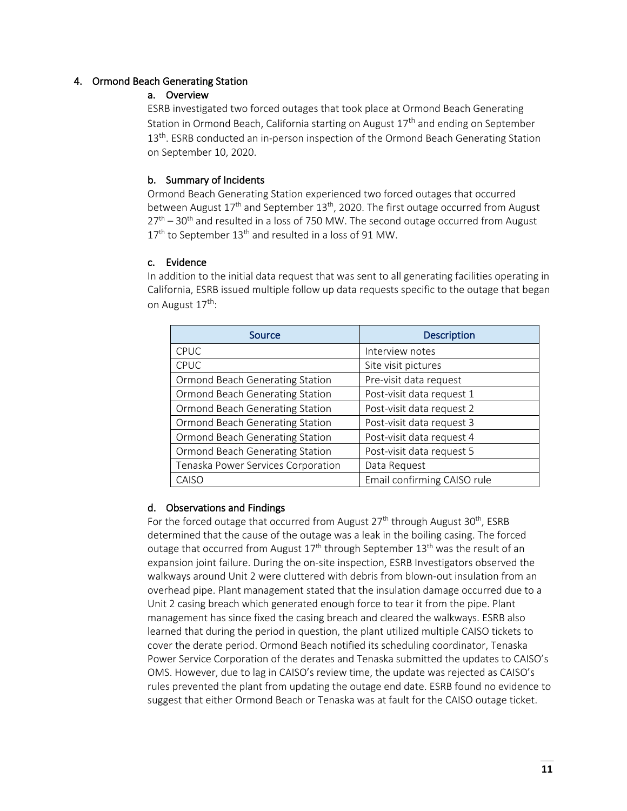# 4. Ormond Beach Generating Station

# a. Overview

ESRB investigated two forced outages that took place at Ormond Beach Generating Station in Ormond Beach, California starting on August  $17<sup>th</sup>$  and ending on September 13<sup>th</sup>. ESRB conducted an in-person inspection of the Ormond Beach Generating Station on September 10, 2020.

# b. Summary of Incidents

Ormond Beach Generating Station experienced two forced outages that occurred between August  $17<sup>th</sup>$  and September  $13<sup>th</sup>$ , 2020. The first outage occurred from August  $27<sup>th</sup> - 30<sup>th</sup>$  and resulted in a loss of 750 MW. The second outage occurred from August 17<sup>th</sup> to September 13<sup>th</sup> and resulted in a loss of 91 MW.

# c. Evidence

In addition to the initial data request that was sent to all generating facilities operating in California, ESRB issued multiple follow up data requests specific to the outage that began on August 17<sup>th</sup>:

| Source                             | <b>Description</b>          |
|------------------------------------|-----------------------------|
| <b>CPUC</b>                        | Interview notes             |
| <b>CPUC</b>                        | Site visit pictures         |
| Ormond Beach Generating Station    | Pre-visit data request      |
| Ormond Beach Generating Station    | Post-visit data request 1   |
| Ormond Beach Generating Station    | Post-visit data request 2   |
| Ormond Beach Generating Station    | Post-visit data request 3   |
| Ormond Beach Generating Station    | Post-visit data request 4   |
| Ormond Beach Generating Station    | Post-visit data request 5   |
| Tenaska Power Services Corporation | Data Request                |
| CAISO                              | Email confirming CAISO rule |

# d. Observations and Findings

For the forced outage that occurred from August  $27<sup>th</sup>$  through August  $30<sup>th</sup>$ , ESRB determined that the cause of the outage was a leak in the boiling casing. The forced outage that occurred from August  $17<sup>th</sup>$  through September  $13<sup>th</sup>$  was the result of an expansion joint failure. During the on-site inspection, ESRB Investigators observed the walkways around Unit 2 were cluttered with debris from blown-out insulation from an overhead pipe. Plant management stated that the insulation damage occurred due to a Unit 2 casing breach which generated enough force to tear it from the pipe. Plant management has since fixed the casing breach and cleared the walkways. ESRB also learned that during the period in question, the plant utilized multiple CAISO tickets to cover the derate period. Ormond Beach notified its scheduling coordinator, Tenaska Power Service Corporation of the derates and Tenaska submitted the updates to CAISO's OMS. However, due to lag in CAISO's review time, the update was rejected as CAISO's rules prevented the plant from updating the outage end date. ESRB found no evidence to suggest that either Ormond Beach or Tenaska was at fault for the CAISO outage ticket.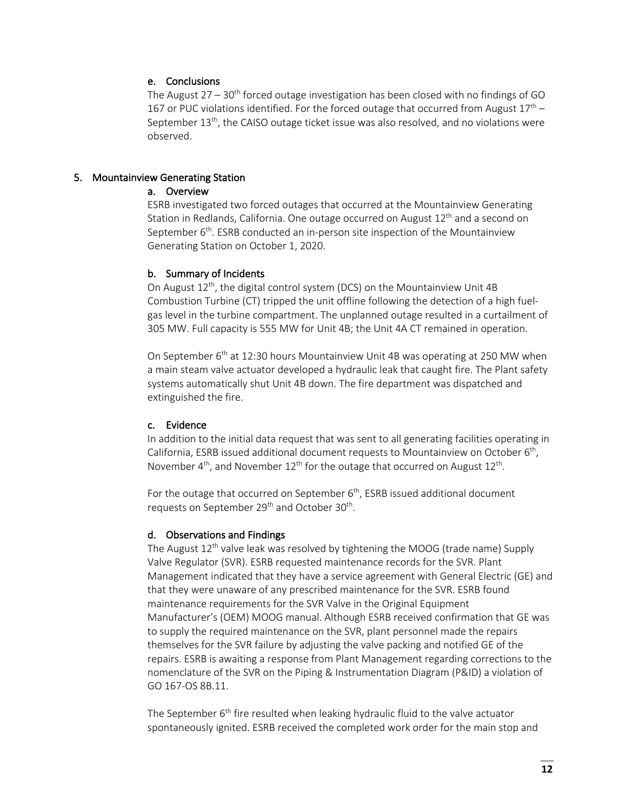# e. Conclusions

The August  $27 - 30<sup>th</sup>$  forced outage investigation has been closed with no findings of GO 167 or PUC violations identified. For the forced outage that occurred from August  $17<sup>th</sup>$  – September  $13<sup>th</sup>$ , the CAISO outage ticket issue was also resolved, and no violations were observed.

#### 5. Mountainview Generating Station

# a. Overview

ESRB investigated two forced outages that occurred at the Mountainview Generating Station in Redlands, California. One outage occurred on August  $12<sup>th</sup>$  and a second on September  $6<sup>th</sup>$ . ESRB conducted an in-person site inspection of the Mountainview Generating Station on October 1, 2020.

#### b. Summary of Incidents

On August 12<sup>th</sup>, the digital control system (DCS) on the Mountainview Unit 4B Combustion Turbine (CT) tripped the unit offline following the detection of a high fuelgas level in the turbine compartment. The unplanned outage resulted in a curtailment of 305 MW. Full capacity is 555 MW for Unit 4B; the Unit 4A CT remained in operation.

On September 6<sup>th</sup> at 12:30 hours Mountainview Unit 4B was operating at 250 MW when a main steam valve actuator developed a hydraulic leak that caught fire. The Plant safety systems automatically shut Unit 4B down. The fire department was dispatched and extinguished the fire.

# c. Evidence

In addition to the initial data request that was sent to all generating facilities operating in California, ESRB issued additional document requests to Mountainview on October 6th, November  $4<sup>th</sup>$ , and November 12<sup>th</sup> for the outage that occurred on August 12<sup>th</sup>.

For the outage that occurred on September  $6<sup>th</sup>$ , ESRB issued additional document requests on September 29<sup>th</sup> and October 30<sup>th</sup>.

#### d. Observations and Findings

The August  $12^{th}$  valve leak was resolved by tightening the MOOG (trade name) Supply Valve Regulator (SVR). ESRB requested maintenance records for the SVR. Plant Management indicated that they have a service agreement with General Electric (GE) and that they were unaware of any prescribed maintenance for the SVR. ESRB found maintenance requirements for the SVR Valve in the Original Equipment Manufacturer's (OEM) MOOG manual. Although ESRB received confirmation that GE was to supply the required maintenance on the SVR, plant personnel made the repairs themselves for the SVR failure by adjusting the valve packing and notified GE of the repairs. ESRB is awaiting a response from Plant Management regarding corrections to the nomenclature of the SVR on the Piping & Instrumentation Diagram (P&ID) a violation of GO 167-OS 8B.11.

The September  $6<sup>th</sup>$  fire resulted when leaking hydraulic fluid to the valve actuator spontaneously ignited. ESRB received the completed work order for the main stop and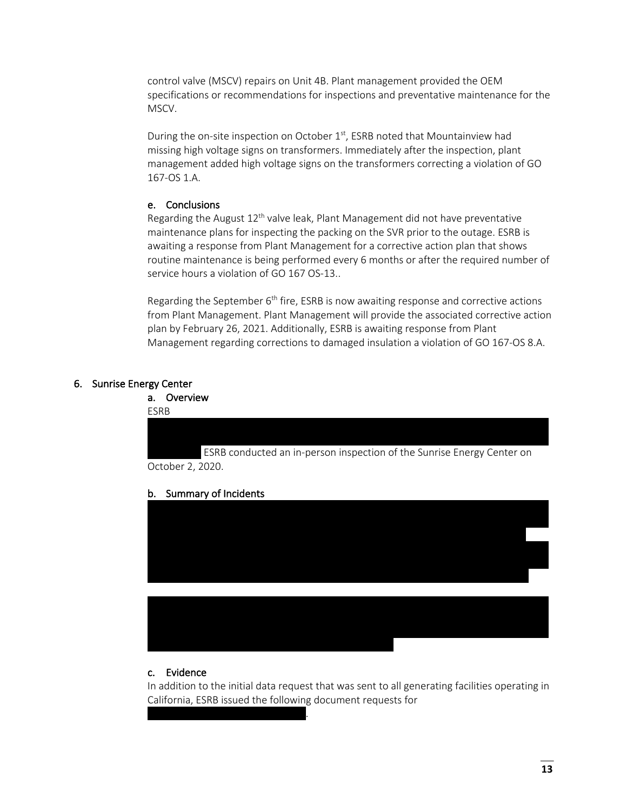control valve (MSCV) repairs on Unit 4B. Plant management provided the OEM specifications or recommendations for inspections and preventative maintenance for the MSCV.

During the on-site inspection on October  $1<sup>st</sup>$ , ESRB noted that Mountainview had missing high voltage signs on transformers. Immediately after the inspection, plant management added high voltage signs on the transformers correcting a violation of GO 167-OS 1.A.

# e. Conclusions

Regarding the August  $12<sup>th</sup>$  valve leak, Plant Management did not have preventative maintenance plans for inspecting the packing on the SVR prior to the outage. ESRB is awaiting a response from Plant Management for a corrective action plan that shows routine maintenance is being performed every 6 months or after the required number of service hours a violation of GO 167 OS-13..

Regarding the September  $6<sup>th</sup>$  fire, ESRB is now awaiting response and corrective actions from Plant Management. Plant Management will provide the associated corrective action plan by February 26, 2021. Additionally, ESRB is awaiting response from Plant Management regarding corrections to damaged insulation a violation of GO 167-OS 8.A.

#### 6. Sunrise Energy Center

a. Overview

ESRB

ESRB conducted an in-person inspection of the Sunrise Energy Center on October 2, 2020.

b. Summary of Incidents



# c. Evidence

 $\mathbf{x}$ 

In addition to the initial data request that was sent to all generating facilities operating in California, ESRB issued the following document requests for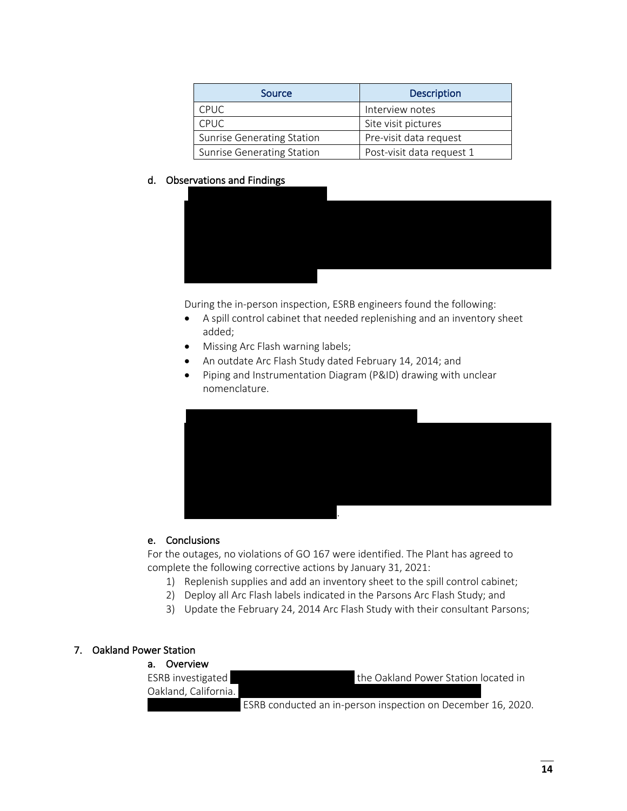| Source                            | <b>Description</b>        |
|-----------------------------------|---------------------------|
| <b>CPUC</b>                       | Interview notes           |
| <b>CPUC</b>                       | Site visit pictures       |
| <b>Sunrise Generating Station</b> | Pre-visit data request    |
| <b>Sunrise Generating Station</b> | Post-visit data request 1 |

# d. Observations and Findings



During the in-person inspection, ESRB engineers found the following:

- A spill control cabinet that needed replenishing and an inventory sheet added;
- Missing Arc Flash warning labels;
- An outdate Arc Flash Study dated February 14, 2014; and
- Piping and Instrumentation Diagram (P&ID) drawing with unclear nomenclature.



# e. Conclusions

For the outages, no violations of GO 167 were identified. The Plant has agreed to complete the following corrective actions by January 31, 2021:

- 1) Replenish supplies and add an inventory sheet to the spill control cabinet;
- 2) Deploy all Arc Flash labels indicated in the Parsons Arc Flash Study; and
- 3) Update the February 24, 2014 Arc Flash Study with their consultant Parsons;

# 7. Oakland Power Station

| a. Overview              |                                                              |
|--------------------------|--------------------------------------------------------------|
| <b>ESRB</b> investigated | the Oakland Power Station located in                         |
| Oakland, California.     |                                                              |
|                          | ESRB conducted an in-person inspection on December 16, 2020. |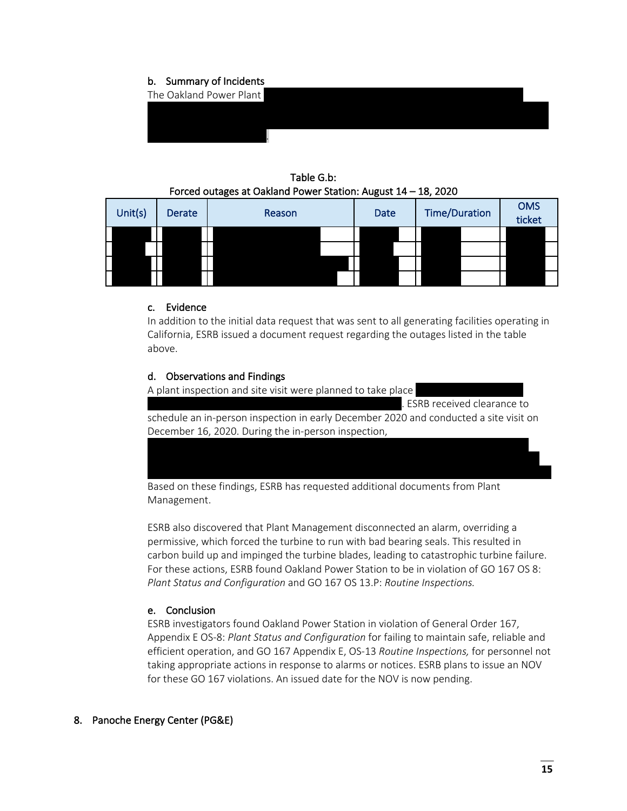# b. Summary of Incidents



Table G.b: Forced outages at Oakland Power Station: August 14 – 18, 2020

| Unit(s) | Derate | Reason | <b>Date</b> | <b>Time/Duration</b> | <b>OMS</b><br>ticket |
|---------|--------|--------|-------------|----------------------|----------------------|
|         |        |        |             |                      |                      |
|         |        |        |             |                      |                      |
|         |        |        |             |                      |                      |
|         |        |        |             |                      |                      |

# c. Evidence

In addition to the initial data request that was sent to all generating facilities operating in California, ESRB issued a document request regarding the outages listed in the table above.

# d. Observations and Findings

A plant inspection and site visit were planned to take place

. ESRB received clearance to schedule an in-person inspection in early December 2020 and conducted a site visit on December 16, 2020. During the in-person inspection,

Based on these findings, ESRB has requested additional documents from Plant Management.

ESRB also discovered that Plant Management disconnected an alarm, overriding a permissive, which forced the turbine to run with bad bearing seals. This resulted in carbon build up and impinged the turbine blades, leading to catastrophic turbine failure. For these actions, ESRB found Oakland Power Station to be in violation of GO 167 OS 8: *Plant Status and Configuration* and GO 167 OS 13.P: *Routine Inspections.*

# e. Conclusion

ESRB investigators found Oakland Power Station in violation of General Order 167, Appendix E OS-8: *Plant Status and Configuration* for failing to maintain safe, reliable and efficient operation, and GO 167 Appendix E, OS-13 *Routine Inspections,* for personnel not taking appropriate actions in response to alarms or notices. ESRB plans to issue an NOV for these GO 167 violations. An issued date for the NOV is now pending.

# 8. Panoche Energy Center (PG&E)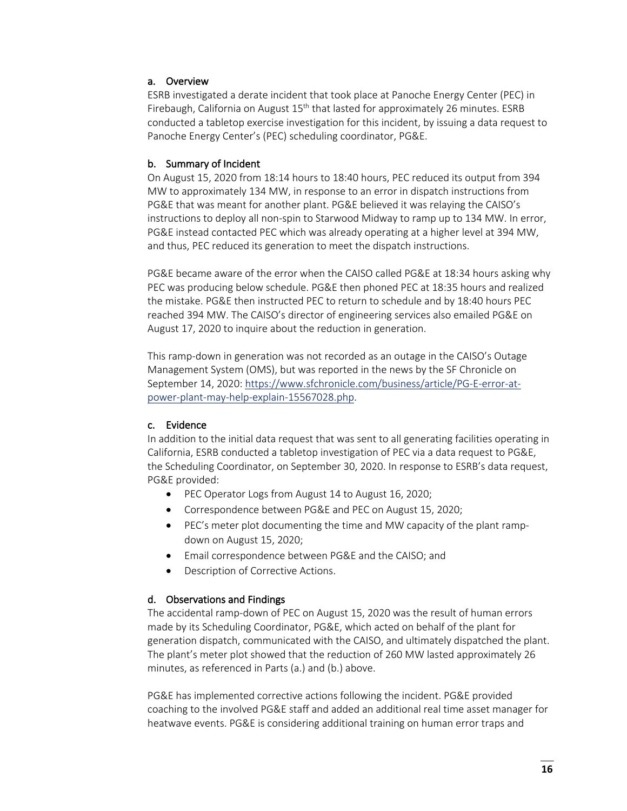# a. Overview

ESRB investigated a derate incident that took place at Panoche Energy Center (PEC) in Firebaugh, California on August  $15<sup>th</sup>$  that lasted for approximately 26 minutes. ESRB conducted a tabletop exercise investigation for this incident, by issuing a data request to Panoche Energy Center's (PEC) scheduling coordinator, PG&E.

#### b. Summary of Incident

On August 15, 2020 from 18:14 hours to 18:40 hours, PEC reduced its output from 394 MW to approximately 134 MW, in response to an error in dispatch instructions from PG&E that was meant for another plant. PG&E believed it was relaying the CAISO's instructions to deploy all non-spin to Starwood Midway to ramp up to 134 MW. In error, PG&E instead contacted PEC which was already operating at a higher level at 394 MW, and thus, PEC reduced its generation to meet the dispatch instructions.

PG&E became aware of the error when the CAISO called PG&E at 18:34 hours asking why PEC was producing below schedule. PG&E then phoned PEC at 18:35 hours and realized the mistake. PG&E then instructed PEC to return to schedule and by 18:40 hours PEC reached 394 MW. The CAISO's director of engineering services also emailed PG&E on August 17, 2020 to inquire about the reduction in generation.

This ramp-down in generation was not recorded as an outage in the CAISO's Outage Management System (OMS), but was reported in the news by the SF Chronicle on September 14, 2020: https://www.sfchronicle.com/business/article/PG-E-error-atpower-plant-may-help-explain-15567028.php.

#### c. Evidence

In addition to the initial data request that was sent to all generating facilities operating in California, ESRB conducted a tabletop investigation of PEC via a data request to PG&E, the Scheduling Coordinator, on September 30, 2020. In response to ESRB's data request, PG&E provided:

- PEC Operator Logs from August 14 to August 16, 2020;
- Correspondence between PG&E and PEC on August 15, 2020;
- PEC's meter plot documenting the time and MW capacity of the plant rampdown on August 15, 2020;
- Email correspondence between PG&E and the CAISO; and
- Description of Corrective Actions.

# d. Observations and Findings

The accidental ramp-down of PEC on August 15, 2020 was the result of human errors made by its Scheduling Coordinator, PG&E, which acted on behalf of the plant for generation dispatch, communicated with the CAISO, and ultimately dispatched the plant. The plant's meter plot showed that the reduction of 260 MW lasted approximately 26 minutes, as referenced in Parts (a.) and (b.) above.

PG&E has implemented corrective actions following the incident. PG&E provided coaching to the involved PG&E staff and added an additional real time asset manager for heatwave events. PG&E is considering additional training on human error traps and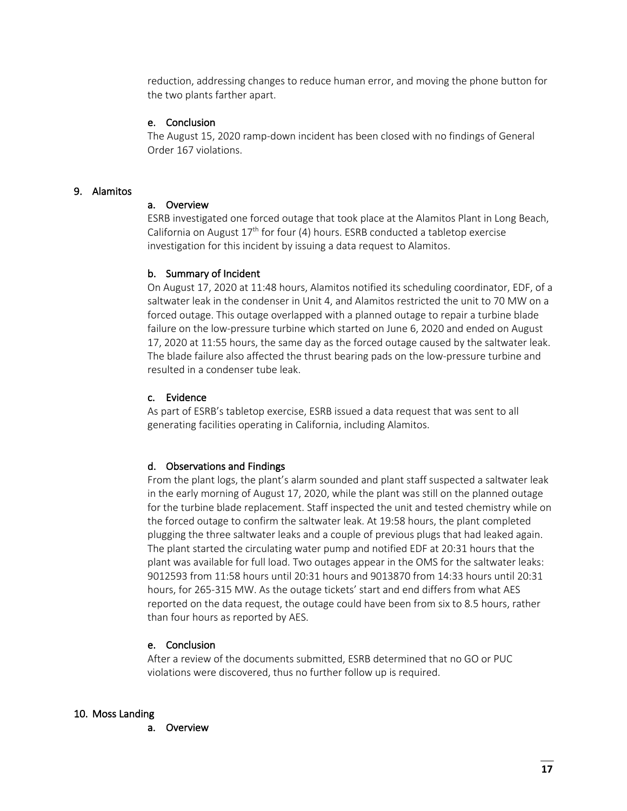reduction, addressing changes to reduce human error, and moving the phone button for the two plants farther apart.

#### e. Conclusion

The August 15, 2020 ramp-down incident has been closed with no findings of General Order 167 violations.

#### 9. Alamitos

#### a. Overview

ESRB investigated one forced outage that took place at the Alamitos Plant in Long Beach, California on August  $17<sup>th</sup>$  for four (4) hours. ESRB conducted a tabletop exercise investigation for this incident by issuing a data request to Alamitos.

# b. Summary of Incident

On August 17, 2020 at 11:48 hours, Alamitos notified its scheduling coordinator, EDF, of a saltwater leak in the condenser in Unit 4, and Alamitos restricted the unit to 70 MW on a forced outage. This outage overlapped with a planned outage to repair a turbine blade failure on the low-pressure turbine which started on June 6, 2020 and ended on August 17, 2020 at 11:55 hours, the same day as the forced outage caused by the saltwater leak. The blade failure also affected the thrust bearing pads on the low-pressure turbine and resulted in a condenser tube leak.

# c. Evidence

As part of ESRB's tabletop exercise, ESRB issued a data request that was sent to all generating facilities operating in California, including Alamitos.

# d. Observations and Findings

From the plant logs, the plant's alarm sounded and plant staff suspected a saltwater leak in the early morning of August 17, 2020, while the plant was still on the planned outage for the turbine blade replacement. Staff inspected the unit and tested chemistry while on the forced outage to confirm the saltwater leak. At 19:58 hours, the plant completed plugging the three saltwater leaks and a couple of previous plugs that had leaked again. The plant started the circulating water pump and notified EDF at 20:31 hours that the plant was available for full load. Two outages appear in the OMS for the saltwater leaks: 9012593 from 11:58 hours until 20:31 hours and 9013870 from 14:33 hours until 20:31 hours, for 265-315 MW. As the outage tickets' start and end differs from what AES reported on the data request, the outage could have been from six to 8.5 hours, rather than four hours as reported by AES.

# e. Conclusion

After a review of the documents submitted, ESRB determined that no GO or PUC violations were discovered, thus no further follow up is required.

#### 10. Moss Landing

a. Overview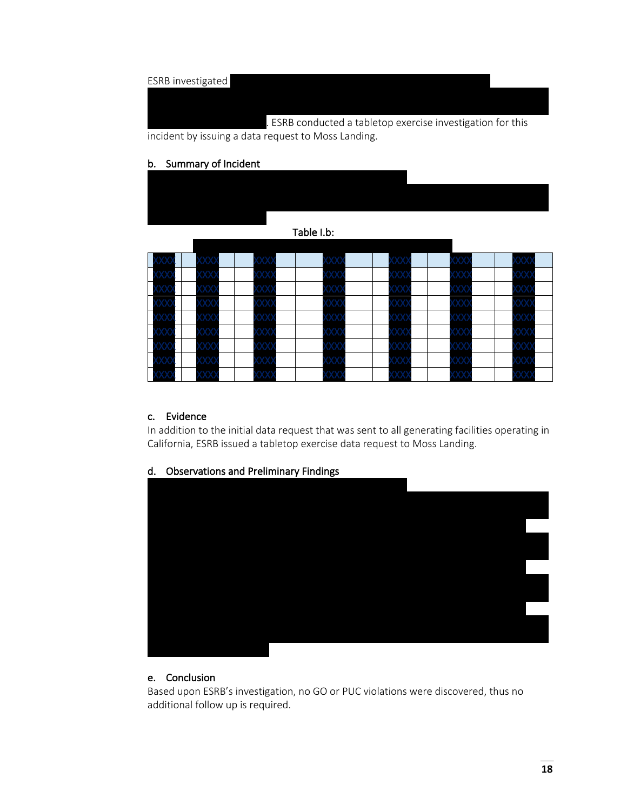# ESRB investigated

. ESRB conducted a tabletop exercise investigation for this incident by issuing a data request to Moss Landing.

#### b. Summary of Incident

#### Table I.b:

| Н                        |                    | $\langle \chi \chi \rangle$ | $\propto$ | $\propto$   | XX.                |  |
|--------------------------|--------------------|-----------------------------|-----------|-------------|--------------------|--|
| $\overline{\phantom{0}}$ |                    |                             | ЮΧ        | 90.         |                    |  |
|                          |                    | XX)                         | XХ.       | w           | ΧХ                 |  |
|                          | ooo                | XX)                         | ХΧ        | $\propto$   | 000                |  |
|                          | ooo                | $\infty$                    | $\propto$ | XX)         | $\infty$           |  |
|                          |                    | $\propto$                   | $\propto$ | $\propto$   | ЖХ.                |  |
|                          |                    | $\chi\chi$                  | XX.       | <b>XXXX</b> | $\propto$          |  |
|                          | $\propto$ $\times$ | XX                          | XХ        | $\propto$   | $\propto$ $\times$ |  |
|                          |                    | XX)                         | X)        |             | $\propto$          |  |

# c. Evidence

In addition to the initial data request that was sent to all generating facilities operating in California, ESRB issued a tabletop exercise data request to Moss Landing.



# d. Observations and Preliminary Findings

# e. Conclusion

Based upon ESRB's investigation, no GO or PUC violations were discovered, thus no additional follow up is required.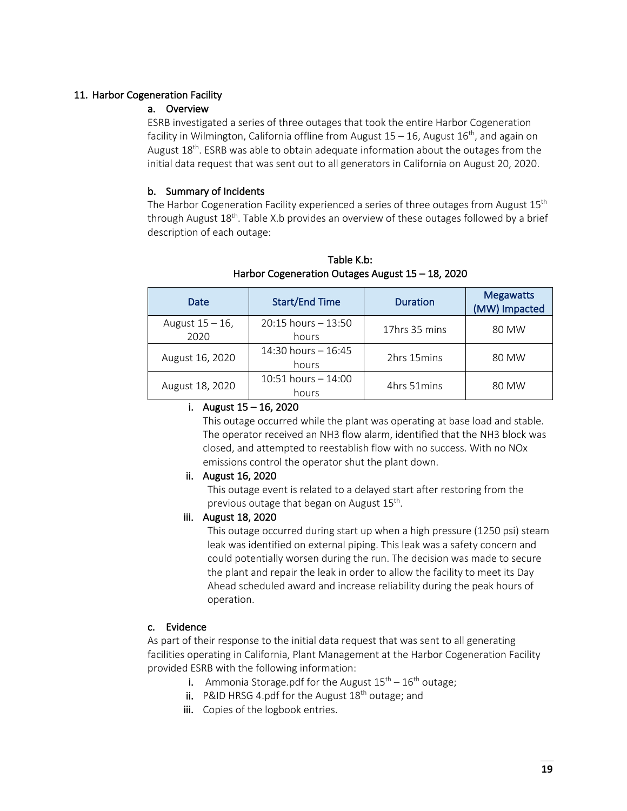# 11. Harbor Cogeneration Facility

# a. Overview

ESRB investigated a series of three outages that took the entire Harbor Cogeneration facility in Wilmington, California offline from August  $15 - 16$ , August  $16<sup>th</sup>$ , and again on August  $18<sup>th</sup>$ . ESRB was able to obtain adequate information about the outages from the initial data request that was sent out to all generators in California on August 20, 2020.

# b. Summary of Incidents

The Harbor Cogeneration Facility experienced a series of three outages from August  $15<sup>th</sup>$ through August 18th. Table X.b provides an overview of these outages followed by a brief description of each outage:

| Date                       | <b>Start/End Time</b>           | <b>Duration</b> | <b>Megawatts</b><br>(MW) Impacted |
|----------------------------|---------------------------------|-----------------|-----------------------------------|
| August $15 - 16$ ,<br>2020 | $20:15$ hours $-13:50$<br>hours | 17hrs 35 mins   | 80 MW                             |
| August 16, 2020            | 14:30 hours $-16:45$<br>hours   | 2hrs 15 mins    | 80 MW                             |
| August 18, 2020            | $10:51$ hours $-14:00$<br>hours | 4hrs 51mins     | 80 MW                             |

Table K.b: Harbor Cogeneration Outages August 15 – 18, 2020

#### i. August  $15 - 16$ , 2020

This outage occurred while the plant was operating at base load and stable. The operator received an NH3 flow alarm, identified that the NH3 block was closed, and attempted to reestablish flow with no success. With no NOx emissions control the operator shut the plant down.

# ii. August 16, 2020

This outage event is related to a delayed start after restoring from the previous outage that began on August 15<sup>th</sup>.

# iii. August 18, 2020

This outage occurred during start up when a high pressure (1250 psi) steam leak was identified on external piping. This leak was a safety concern and could potentially worsen during the run. The decision was made to secure the plant and repair the leak in order to allow the facility to meet its Day Ahead scheduled award and increase reliability during the peak hours of operation.

# c. Evidence

As part of their response to the initial data request that was sent to all generating facilities operating in California, Plant Management at the Harbor Cogeneration Facility provided ESRB with the following information:

- i. Ammonia Storage.pdf for the August  $15^{th} 16^{th}$  outage;
- ii. P&ID HRSG 4.pdf for the August  $18<sup>th</sup>$  outage; and
- iii. Copies of the logbook entries.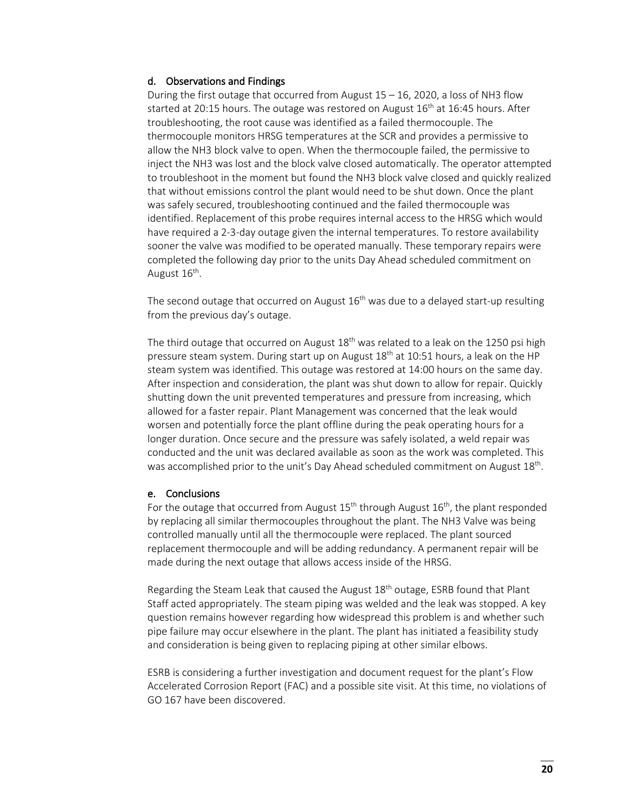#### d. Observations and Findings

During the first outage that occurred from August 15 – 16, 2020, a loss of NH3 flow started at 20:15 hours. The outage was restored on August  $16<sup>th</sup>$  at 16:45 hours. After troubleshooting, the root cause was identified as a failed thermocouple. The thermocouple monitors HRSG temperatures at the SCR and provides a permissive to allow the NH3 block valve to open. When the thermocouple failed, the permissive to inject the NH3 was lost and the block valve closed automatically. The operator attempted to troubleshoot in the moment but found the NH3 block valve closed and quickly realized that without emissions control the plant would need to be shut down. Once the plant was safely secured, troubleshooting continued and the failed thermocouple was identified. Replacement of this probe requires internal access to the HRSG which would have required a 2-3-day outage given the internal temperatures. To restore availability sooner the valve was modified to be operated manually. These temporary repairs were completed the following day prior to the units Day Ahead scheduled commitment on August  $16<sup>th</sup>$ .

The second outage that occurred on August  $16<sup>th</sup>$  was due to a delayed start-up resulting from the previous day's outage.

The third outage that occurred on August  $18<sup>th</sup>$  was related to a leak on the 1250 psi high pressure steam system. During start up on August  $18<sup>th</sup>$  at 10:51 hours, a leak on the HP steam system was identified. This outage was restored at 14:00 hours on the same day. After inspection and consideration, the plant was shut down to allow for repair. Quickly shutting down the unit prevented temperatures and pressure from increasing, which allowed for a faster repair. Plant Management was concerned that the leak would worsen and potentially force the plant offline during the peak operating hours for a longer duration. Once secure and the pressure was safely isolated, a weld repair was conducted and the unit was declared available as soon as the work was completed. This was accomplished prior to the unit's Day Ahead scheduled commitment on August 18<sup>th</sup>.

#### e. Conclusions

For the outage that occurred from August  $15<sup>th</sup>$  through August  $16<sup>th</sup>$ , the plant responded by replacing all similar thermocouples throughout the plant. The NH3 Valve was being controlled manually until all the thermocouple were replaced. The plant sourced replacement thermocouple and will be adding redundancy. A permanent repair will be made during the next outage that allows access inside of the HRSG.

Regarding the Steam Leak that caused the August 18<sup>th</sup> outage, ESRB found that Plant Staff acted appropriately. The steam piping was welded and the leak was stopped. A key question remains however regarding how widespread this problem is and whether such pipe failure may occur elsewhere in the plant. The plant has initiated a feasibility study and consideration is being given to replacing piping at other similar elbows.

ESRB is considering a further investigation and document request for the plant's Flow Accelerated Corrosion Report (FAC) and a possible site visit. At this time, no violations of GO 167 have been discovered.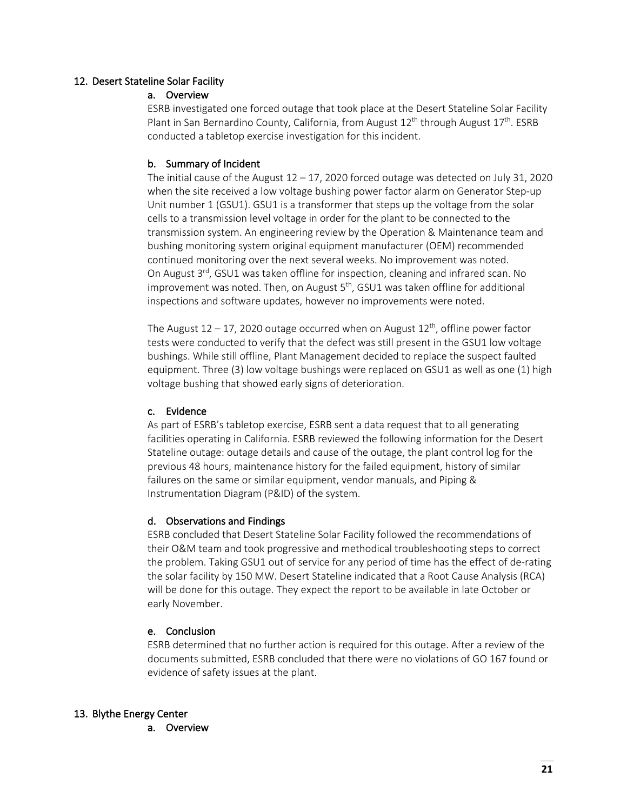# 12. Desert Stateline Solar Facility

# a. Overview

ESRB investigated one forced outage that took place at the Desert Stateline Solar Facility Plant in San Bernardino County, California, from August  $12<sup>th</sup>$  through August  $17<sup>th</sup>$ . ESRB conducted a tabletop exercise investigation for this incident.

# b. Summary of Incident

The initial cause of the August  $12 - 17$ , 2020 forced outage was detected on July 31, 2020 when the site received a low voltage bushing power factor alarm on Generator Step-up Unit number 1 (GSU1). GSU1 is a transformer that steps up the voltage from the solar cells to a transmission level voltage in order for the plant to be connected to the transmission system. An engineering review by the Operation & Maintenance team and bushing monitoring system original equipment manufacturer (OEM) recommended continued monitoring over the next several weeks. No improvement was noted. On August  $3^{rd}$ , GSU1 was taken offline for inspection, cleaning and infrared scan. No improvement was noted. Then, on August  $5<sup>th</sup>$ , GSU1 was taken offline for additional inspections and software updates, however no improvements were noted.

The August  $12 - 17$ , 2020 outage occurred when on August  $12<sup>th</sup>$ , offline power factor tests were conducted to verify that the defect was still present in the GSU1 low voltage bushings. While still offline, Plant Management decided to replace the suspect faulted equipment. Three (3) low voltage bushings were replaced on GSU1 as well as one (1) high voltage bushing that showed early signs of deterioration.

# c. Evidence

As part of ESRB's tabletop exercise, ESRB sent a data request that to all generating facilities operating in California. ESRB reviewed the following information for the Desert Stateline outage: outage details and cause of the outage, the plant control log for the previous 48 hours, maintenance history for the failed equipment, history of similar failures on the same or similar equipment, vendor manuals, and Piping & Instrumentation Diagram (P&ID) of the system.

# d. Observations and Findings

ESRB concluded that Desert Stateline Solar Facility followed the recommendations of their O&M team and took progressive and methodical troubleshooting steps to correct the problem. Taking GSU1 out of service for any period of time has the effect of de-rating the solar facility by 150 MW. Desert Stateline indicated that a Root Cause Analysis (RCA) will be done for this outage. They expect the report to be available in late October or early November.

# e. Conclusion

ESRB determined that no further action is required for this outage. After a review of the documents submitted, ESRB concluded that there were no violations of GO 167 found or evidence of safety issues at the plant.

# 13. Blythe Energy Center

a. Overview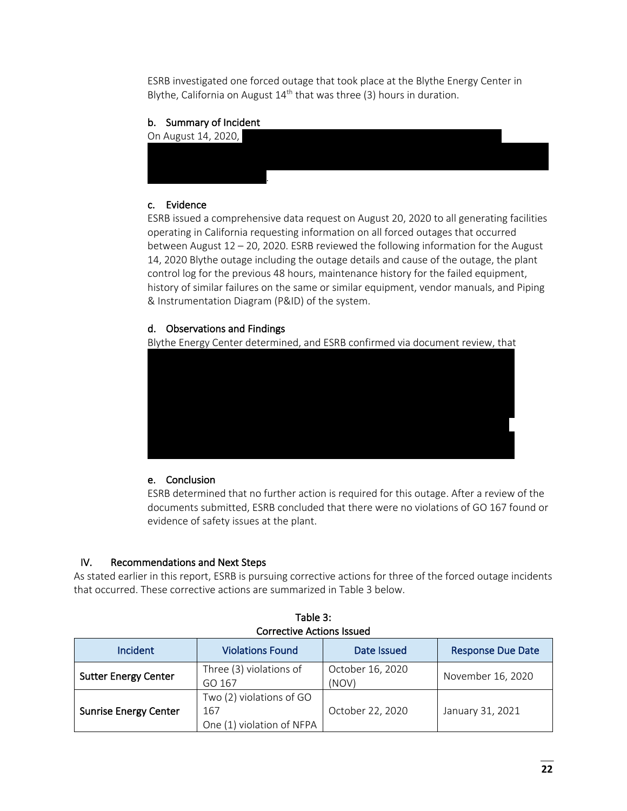ESRB investigated one forced outage that took place at the Blythe Energy Center in Blythe, California on August  $14<sup>th</sup>$  that was three (3) hours in duration.

# b. Summary of Incident



# c. Evidence

ESRB issued a comprehensive data request on August 20, 2020 to all generating facilities operating in California requesting information on all forced outages that occurred between August 12 – 20, 2020. ESRB reviewed the following information for the August 14, 2020 Blythe outage including the outage details and cause of the outage, the plant control log for the previous 48 hours, maintenance history for the failed equipment, history of similar failures on the same or similar equipment, vendor manuals, and Piping & Instrumentation Diagram (P&ID) of the system.

# d. Observations and Findings

Blythe Energy Center determined, and ESRB confirmed via document review, that



# e. Conclusion

ESRB determined that no further action is required for this outage. After a review of the documents submitted, ESRB concluded that there were no violations of GO 167 found or evidence of safety issues at the plant.

# IV. Recommendations and Next Steps

As stated earlier in this report, ESRB is pursuing corrective actions for three of the forced outage incidents that occurred. These corrective actions are summarized in Table 3 below.

| <b>Corrective Actions Issued</b> |                                                              |                           |                          |
|----------------------------------|--------------------------------------------------------------|---------------------------|--------------------------|
| Incident                         | <b>Violations Found</b>                                      | Date Issued               | <b>Response Due Date</b> |
| <b>Sutter Energy Center</b>      | Three (3) violations of<br>GO 167                            | October 16, 2020<br>(NOV) | November 16, 2020        |
| <b>Sunrise Energy Center</b>     | Two (2) violations of GO<br>167<br>One (1) violation of NFPA | October 22, 2020          | January 31, 2021         |

Table 3: